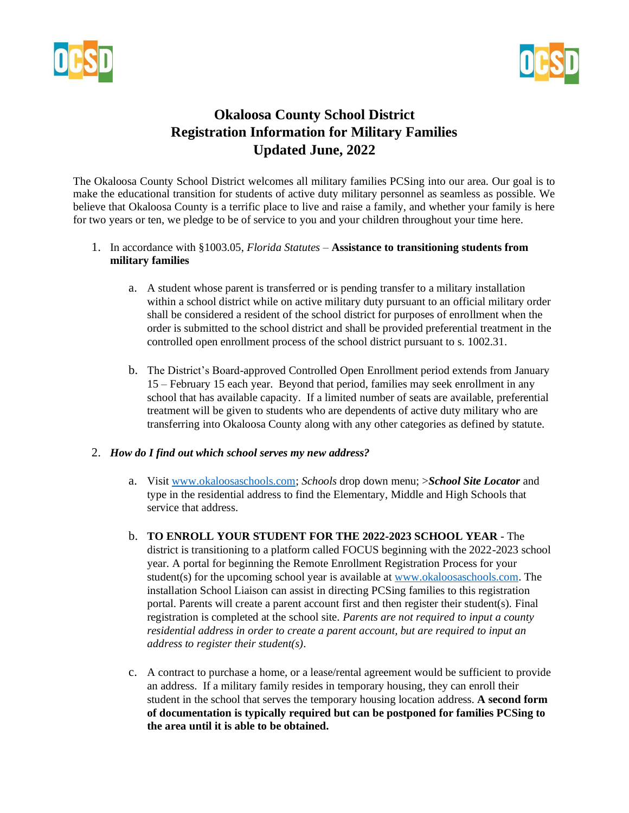



# **Okaloosa County School District Registration Information for Military Families Updated June, 2022**

The Okaloosa County School District welcomes all military families PCSing into our area. Our goal is to make the educational transition for students of active duty military personnel as seamless as possible. We believe that Okaloosa County is a terrific place to live and raise a family, and whether your family is here for two years or ten, we pledge to be of service to you and your children throughout your time here.

#### 1. In accordance with §1003.05, *Florida Statutes* – **Assistance to transitioning students from military families**

- a. A student whose parent is transferred or is pending transfer to a military installation within a school district while on active military duty pursuant to an official military order shall be considered a resident of the school district for purposes of enrollment when the order is submitted to the school district and shall be provided preferential treatment in the controlled open enrollment process of the school district pursuant to s. 1002.31.
- b. The District's Board-approved Controlled Open Enrollment period extends from January 15 – February 15 each year. Beyond that period, families may seek enrollment in any school that has available capacity. If a limited number of seats are available, preferential treatment will be given to students who are dependents of active duty military who are transferring into Okaloosa County along with any other categories as defined by statute.

#### 2. *How do I find out which school serves my new address?*

- a. Visit [www.okaloosaschools.com;](http://www.okaloosaschools.com/) *Schools* drop down menu; >*School Site Locator* and type in the residential address to find the Elementary, Middle and High Schools that service that address.
- b. **TO ENROLL YOUR STUDENT FOR THE 2022-2023 SCHOOL YEAR**  The district is transitioning to a platform called FOCUS beginning with the 2022-2023 school year. A portal for beginning the Remote Enrollment Registration Process for your student(s) for the upcoming school year is available at [www.okaloosaschools.com.](http://www.okaloosaschools.com/) The installation School Liaison can assist in directing PCSing families to this registration portal. Parents will create a parent account first and then register their student(s). Final registration is completed at the school site. *Parents are not required to input a county residential address in order to create a parent account, but are required to input an address to register their student(s)*.
- c. A contract to purchase a home, or a lease/rental agreement would be sufficient to provide an address. If a military family resides in temporary housing, they can enroll their student in the school that serves the temporary housing location address. **A second form of documentation is typically required but can be postponed for families PCSing to the area until it is able to be obtained.**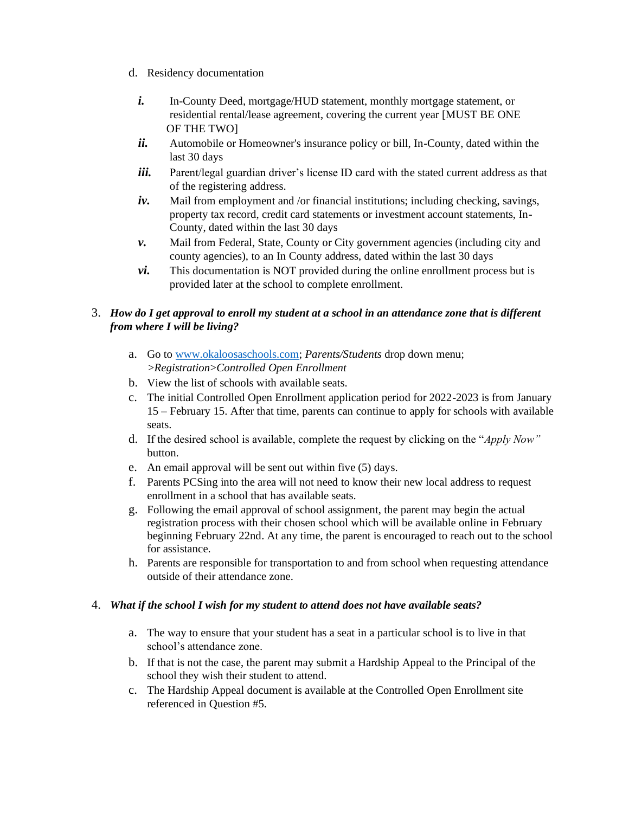- d. Residency documentation
	- *i.* In-County Deed, mortgage/HUD statement, monthly mortgage statement, or residential rental/lease agreement, covering the current year [MUST BE ONE OF THE TWO]
	- *ii.* Automobile or Homeowner's insurance policy or bill, In-County, dated within the last 30 days
	- *iii.* Parent/legal guardian driver's license ID card with the stated current address as that of the registering address.
	- *iv.* Mail from employment and /or financial institutions; including checking, savings, property tax record, credit card statements or investment account statements, In-County, dated within the last 30 days
	- *v.* Mail from Federal, State, County or City government agencies (including city and county agencies), to an In County address, dated within the last 30 days
	- *vi.* This documentation is NOT provided during the online enrollment process but is provided later at the school to complete enrollment.

## 3. *How do I get approval to enroll my student at a school in an attendance zone that is different from where I will be living?*

- a. Go to [www.okaloosaschools.com;](http://www.okaloosaschools.com/) *Parents/Students* drop down menu; >*Registration*>*Controlled Open Enrollment*
- b. View the list of schools with available seats.
- c. The initial Controlled Open Enrollment application period for 2022-2023 is from January 15 – February 15. After that time, parents can continue to apply for schools with available seats.
- d. If the desired school is available, complete the request by clicking on the "*Apply Now"*  button.
- e. An email approval will be sent out within five (5) days.
- f. Parents PCSing into the area will not need to know their new local address to request enrollment in a school that has available seats.
- g. Following the email approval of school assignment, the parent may begin the actual registration process with their chosen school which will be available online in February beginning February 22nd. At any time, the parent is encouraged to reach out to the school for assistance.
- h. Parents are responsible for transportation to and from school when requesting attendance outside of their attendance zone.

### 4. *What if the school I wish for my student to attend does not have available seats?*

- a. The way to ensure that your student has a seat in a particular school is to live in that school's attendance zone.
- b. If that is not the case, the parent may submit a Hardship Appeal to the Principal of the school they wish their student to attend.
- c. The Hardship Appeal document is available at the Controlled Open Enrollment site referenced in Question #5.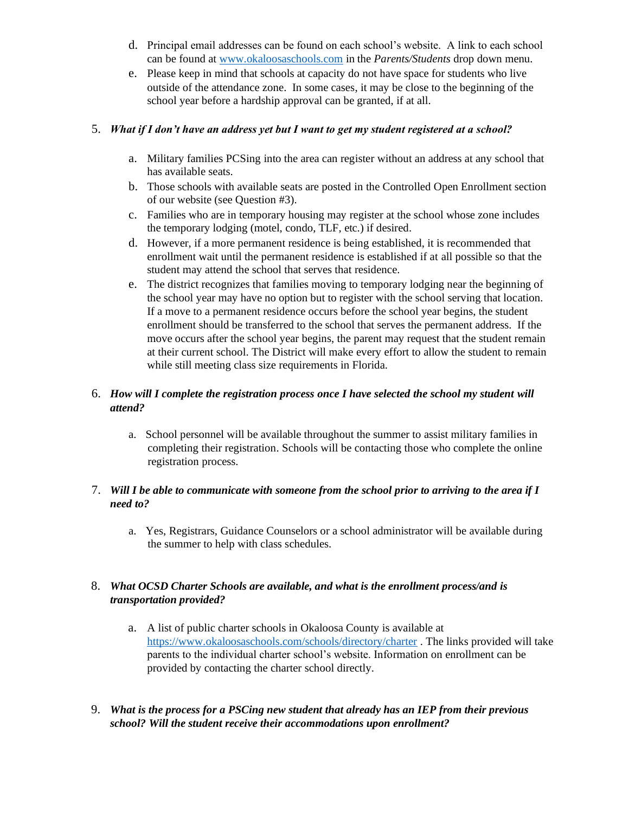- d. Principal email addresses can be found on each school's website. A link to each school can be found at [www.okaloosaschools.com](http://www.okaloosaschools.com/) [i](http://www.okaloosaschools.com/)n the *Parents/Students* drop down menu.
- e. Please keep in mind that schools at capacity do not have space for students who live outside of the attendance zone. In some cases, it may be close to the beginning of the school year before a hardship approval can be granted, if at all.

#### 5. *What if I don't have an address yet but I want to get my student registered at a school?*

- a. Military families PCSing into the area can register without an address at any school that has available seats.
- b. Those schools with available seats are posted in the Controlled Open Enrollment section of our website (see Question #3).
- c. Families who are in temporary housing may register at the school whose zone includes the temporary lodging (motel, condo, TLF, etc.) if desired.
- d. However, if a more permanent residence is being established, it is recommended that enrollment wait until the permanent residence is established if at all possible so that the student may attend the school that serves that residence.
- e. The district recognizes that families moving to temporary lodging near the beginning of the school year may have no option but to register with the school serving that location. If a move to a permanent residence occurs before the school year begins, the student enrollment should be transferred to the school that serves the permanent address. If the move occurs after the school year begins, the parent may request that the student remain at their current school. The District will make every effort to allow the student to remain while still meeting class size requirements in Florida.

### 6. *How will I complete the registration process once I have selected the school my student will attend?*

a. School personnel will be available throughout the summer to assist military families in completing their registration. Schools will be contacting those who complete the online registration process.

### 7. *Will I be able to communicate with someone from the school prior to arriving to the area if I need to?*

a. Yes, Registrars, Guidance Counselors or a school administrator will be available during the summer to help with class schedules.

### 8. *What OCSD Charter Schools are available, and what is the enrollment process/and is transportation provided?*

- a. A list of public charter schools in Okaloosa County is available at <https://www.okaloosaschools.com/schools/directory/charter> . The links provided will take parents to the individual charter school's website. Information on enrollment can be provided by contacting the charter school directly.
- 9. *What is the process for a PSCing new student that already has an IEP from their previous school? Will the student receive their accommodations upon enrollment?*